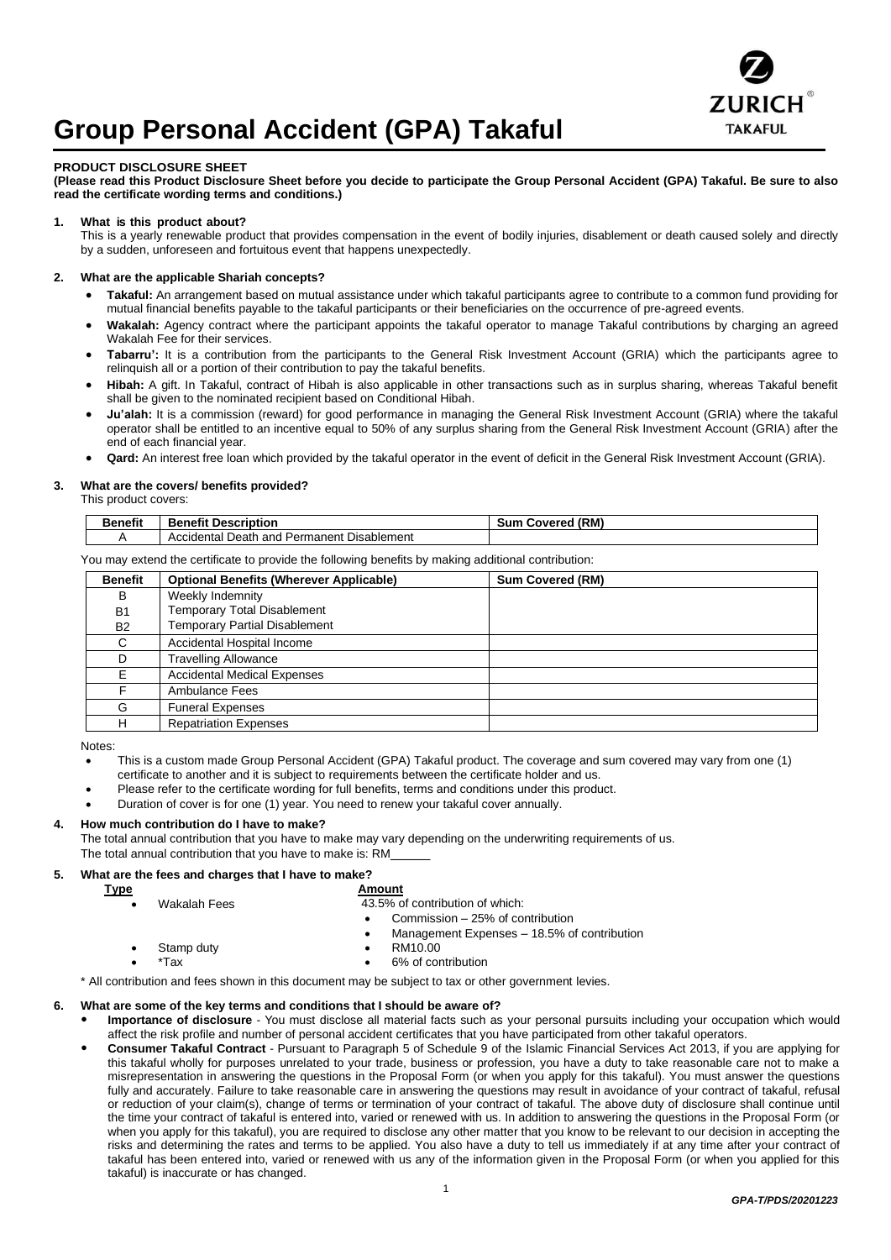

# **Group Personal Accident (GPA) Takaful**

#### **PRODUCT DISCLOSURE SHEET**

**(Please read this Product Disclosure Sheet before you decide to participate the Group Personal Accident (GPA) Takaful. Be sure to also read the certificate wording terms and conditions.)**

# **1. What is this product about?**

This is a yearly renewable product that provides compensation in the event of bodily injuries, disablement or death caused solely and directly by a sudden, unforeseen and fortuitous event that happens unexpectedly.

# **2. What are the applicable Shariah concepts?**

- **Takaful:** An arrangement based on mutual assistance under which takaful participants agree to contribute to a common fund providing for mutual financial benefits payable to the takaful participants or their beneficiaries on the occurrence of pre-agreed events.
- **Wakalah:** Agency contract where the participant appoints the takaful operator to manage Takaful contributions by charging an agreed Wakalah Fee for their services.
- **Tabarru':** It is a contribution from the participants to the General Risk Investment Account (GRIA) which the participants agree to relinquish all or a portion of their contribution to pay the takaful benefits.
- **Hibah:** A gift. In Takaful, contract of Hibah is also applicable in other transactions such as in surplus sharing, whereas Takaful benefit shall be given to the nominated recipient based on Conditional Hibah.
- **Ju'alah:** It is a commission (reward) for good performance in managing the General Risk Investment Account (GRIA) where the takaful operator shall be entitled to an incentive equal to 50% of any surplus sharing from the General Risk Investment Account (GRIA) after the end of each financial year.
- **Qard:** An interest free loan which provided by the takaful operator in the event of deficit in the General Risk Investment Account (GRIA).

### **3. What are the covers/ benefits provided?**

This product covers:

| <b>Benefit</b> | ----------<br>---<br><b>Description</b><br>чењ.          | (RM)<br>Sun<br>Covered |
|----------------|----------------------------------------------------------|------------------------|
|                | Death<br>Disablement<br>Accidental<br>and<br>' Permanent |                        |

You may extend the certificate to provide the following benefits by making additional contribution:

| <b>Benefit</b> | <b>Optional Benefits (Wherever Applicable)</b> | <b>Sum Covered (RM)</b> |  |
|----------------|------------------------------------------------|-------------------------|--|
| B              | Weekly Indemnity                               |                         |  |
| B <sub>1</sub> | <b>Temporary Total Disablement</b>             |                         |  |
| <b>B2</b>      | <b>Temporary Partial Disablement</b>           |                         |  |
| C              | Accidental Hospital Income                     |                         |  |
| D.             | <b>Travelling Allowance</b>                    |                         |  |
| F              | <b>Accidental Medical Expenses</b>             |                         |  |
|                | Ambulance Fees                                 |                         |  |
| G              | <b>Funeral Expenses</b>                        |                         |  |
| н              | <b>Repatriation Expenses</b>                   |                         |  |

Notes:

- This is a custom made Group Personal Accident (GPA) Takaful product. The coverage and sum covered may vary from one (1) certificate to another and it is subject to requirements between the certificate holder and us.
- Please refer to the certificate wording for full benefits, terms and conditions under this product.
- Duration of cover is for one (1) year. You need to renew your takaful cover annually.

# **4. How much contribution do I have to make?**

 The total annual contribution that you have to make may vary depending on the underwriting requirements of us. The total annual contribution that you have to make is: RM\_\_\_\_\_\_

# **5. What are the fees and charges that I have to make?**

| <u>Type</u> |              | Amount                                           |
|-------------|--------------|--------------------------------------------------|
|             | Wakalah Fees | 43.5% of contribution of which:                  |
|             |              | Commission – 25% of contribution<br>٠            |
|             |              | Management Expenses - 18.5% of contribution<br>٠ |
|             | Stamp duty   | RM10.00<br>٠                                     |
|             | *Tax         | 6% of contribution<br>٠                          |

### **6. What are some of the key terms and conditions that I should be aware of?**

- **Importance of disclosure** You must disclose all material facts such as your personal pursuits including your occupation which would affect the risk profile and number of personal accident certificates that you have participated from other takaful operators.
- **Consumer Takaful Contract** Pursuant to Paragraph 5 of Schedule 9 of the Islamic Financial Services Act 2013, if you are applying for this takaful wholly for purposes unrelated to your trade, business or profession, you have a duty to take reasonable care not to make a misrepresentation in answering the questions in the Proposal Form (or when you apply for this takaful). You must answer the questions fully and accurately. Failure to take reasonable care in answering the questions may result in avoidance of your contract of takaful, refusal or reduction of your claim(s), change of terms or termination of your contract of takaful. The above duty of disclosure shall continue until the time your contract of takaful is entered into, varied or renewed with us. In addition to answering the questions in the Proposal Form (or when you apply for this takaful), you are required to disclose any other matter that you know to be relevant to our decision in accepting the risks and determining the rates and terms to be applied. You also have a duty to tell us immediately if at any time after your contract of takaful has been entered into, varied or renewed with us any of the information given in the Proposal Form (or when you applied for this takaful) is inaccurate or has changed.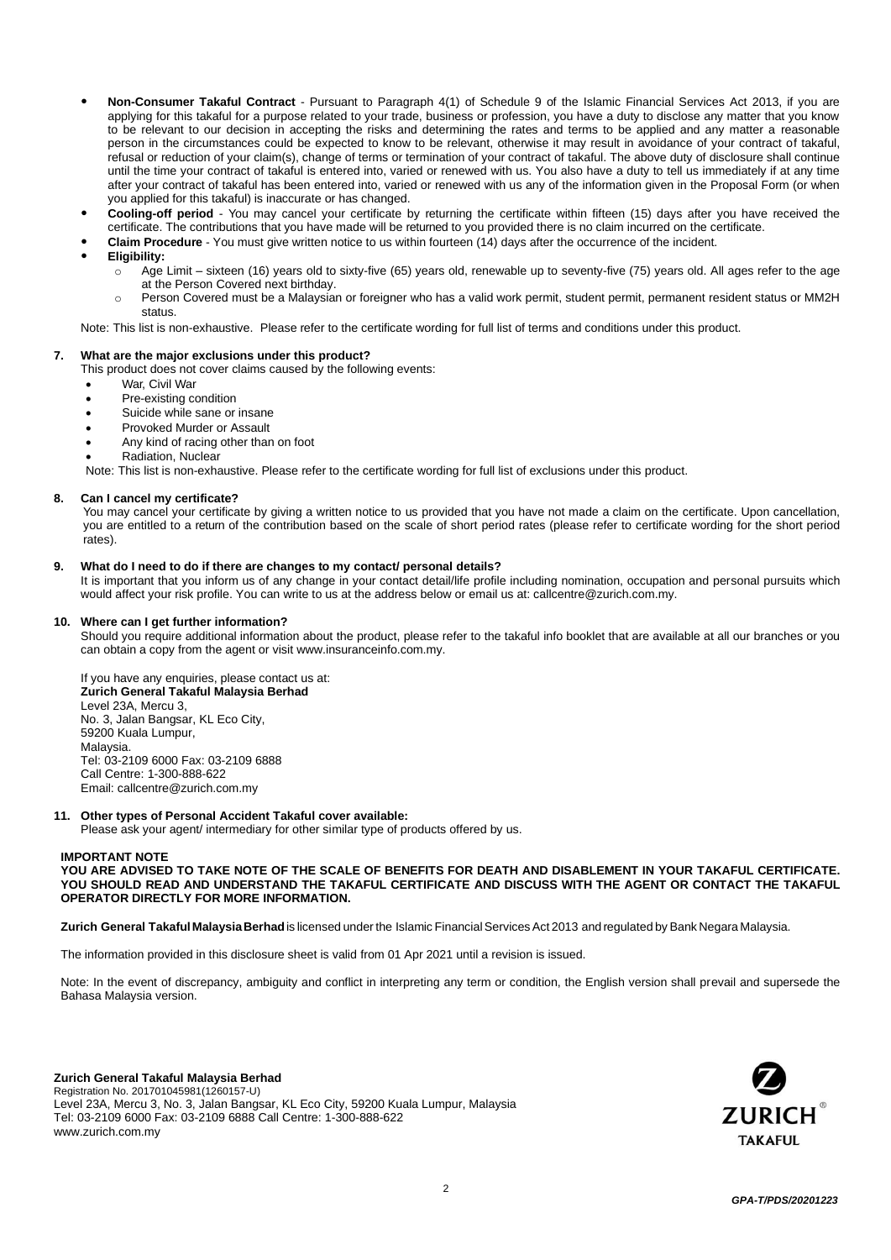- **Non-Consumer Takaful Contract** Pursuant to Paragraph 4(1) of Schedule 9 of the Islamic Financial Services Act 2013, if you are applying for this takaful for a purpose related to your trade, business or profession, you have a duty to disclose any matter that you know to be relevant to our decision in accepting the risks and determining the rates and terms to be applied and any matter a reasonable person in the circumstances could be expected to know to be relevant, otherwise it may result in avoidance of your contract of takaful, refusal or reduction of your claim(s), change of terms or termination of your contract of takaful. The above duty of disclosure shall continue until the time your contract of takaful is entered into, varied or renewed with us. You also have a duty to tell us immediately if at any time after your contract of takaful has been entered into, varied or renewed with us any of the information given in the Proposal Form (or when you applied for this takaful) is inaccurate or has changed.
- Cooling-off period You may cancel your certificate by returning the certificate within fifteen (15) days after you have received the certificate. The contributions that you have made will be returned to you provided there is no claim incurred on the certificate.
- **Claim Procedure** You must give written notice to us within fourteen (14) days after the occurrence of the incident.
- **Eligibility:** 
	- $\circ$  Age Limit sixteen (16) years old to sixty-five (65) years old, renewable up to seventy-five (75) years old. All ages refer to the age at the Person Covered next birthday.
	- o Person Covered must be a Malaysian or foreigner who has a valid work permit, student permit, permanent resident status or MM2H status.

Note: This list is non-exhaustive. Please refer to the certificate wording for full list of terms and conditions under this product.

#### **7. What are the major exclusions under this product?**

This product does not cover claims caused by the following events:

- War, Civil War
- Pre-existing condition
- Suicide while sane or insane
- Provoked Murder or Assault
- Any kind of racing other than on foot
- Radiation, Nuclear

Note: This list is non-exhaustive. Please refer to the certificate wording for full list of exclusions under this product.

#### **8. Can I cancel my certificate?**

You may cancel your certificate by giving a written notice to us provided that you have not made a claim on the certificate. Upon cancellation, you are entitled to a return of the contribution based on the scale of short period rates (please refer to certificate wording for the short period rates).

#### **9. What do I need to do if there are changes to my contact/ personal details?**

It is important that you inform us of any change in your contact detail/life profile including nomination, occupation and personal pursuits which would affect your risk profile. You can write to us at the address below or email us at: callcentre@zurich.com.my.

#### **10. Where can I get further information?**

Should you require additional information about the product, please refer to the takaful info booklet that are available at all our branches or you can obtain a copy f[rom the agent](http://www/) or visit www.insuranceinfo.com.my.

If you have any enquiries, please contact us at: **Zurich General Takaful Malaysia Berhad**  Level 23A, Mercu 3, No. 3, Jalan Bangsar, KL Eco City, 59200 Kuala Lumpur, Malaysia. Tel: 03-2109 6000 Fax: 03-2109 6888 Call Centre: 1-300-888-622 Email: callcent[re@zurich.com.my](mailto:e@zurich.com.my)

### **11. Other types of Personal Accident Takaful cover available:**

Please ask your agent/ intermediary for other similar type of products offered by us.

# **IMPORTANT NOTE**

**YOU ARE ADVISED TO TAKE NOTE OF THE SCALE OF BENEFITS FOR DEATH AND DISABLEMENT IN YOUR TAKAFUL CERTIFICATE. YOU SHOULD READ AND UNDERSTAND THE TAKAFUL CERTIFICATE AND DISCUSS WITH THE AGENT OR CONTACT THE TAKAFUL OPERATOR DIRECTLY FOR MORE INFORMATION.**

**Zurich General Takaful MalaysiaBerhad**is licensed underthe Islamic FinancialServices Act 2013 and regulated by Bank Negara Malaysia.

The information provided in this disclosure sheet is valid from 01 Apr 2021 until a revision is issued.

Note: In the event of discrepancy, ambiguity and conflict in interpreting any term or condition, the English version shall prevail and supersede the Bahasa Malaysia version.

**Zurich General Takaful Malaysia Berhad**  Registration No. 201701045981(1260157-U) Level 23A, Mercu 3, No. 3, Jalan Bangsar, KL Eco City, 59200 Kuala Lumpur, Malaysia Tel: 03-2109 6000 Fax: 03-2109 6888 Call Centre: 1-300-888-622 www.zurich.com.my

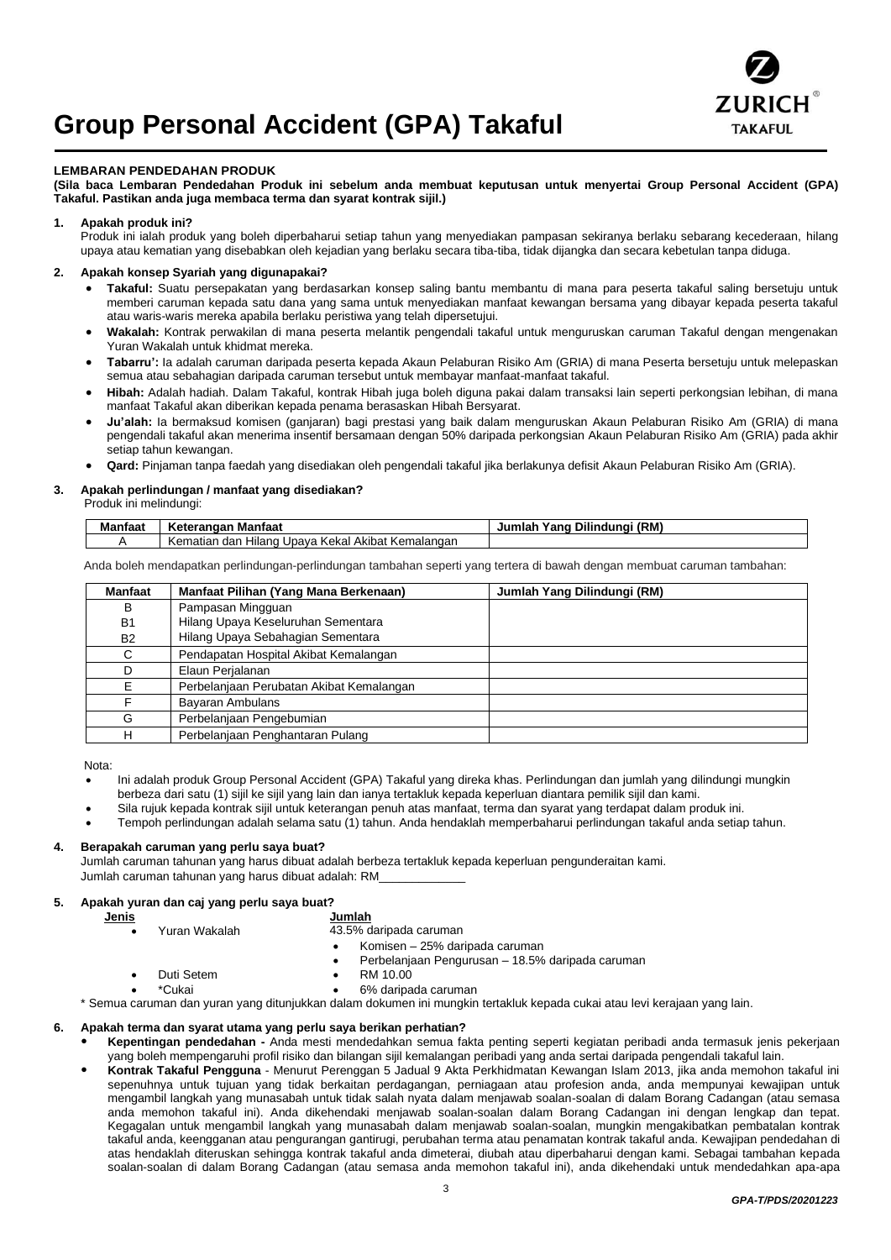# **Group Personal Accident (GPA) Takaful**



# **LEMBARAN PENDEDAHAN PRODUK**

**(Sila baca Lembaran Pendedahan Produk ini sebelum anda membuat keputusan untuk menyertai Group Personal Accident (GPA) Takaful. Pastikan anda juga membaca terma dan syarat kontrak sijil.)**

# **1. Apakah produk ini?**

Produk ini ialah produk yang boleh diperbaharui setiap tahun yang menyediakan pampasan sekiranya berlaku sebarang kecederaan, hilang upaya atau kematian yang disebabkan oleh kejadian yang berlaku secara tiba-tiba, tidak dijangka dan secara kebetulan tanpa diduga.

# **2. Apakah konsep Syariah yang digunapakai?**

- **Takaful:** Suatu persepakatan yang berdasarkan konsep saling bantu membantu di mana para peserta takaful saling bersetuju untuk memberi caruman kepada satu dana yang sama untuk menyediakan manfaat kewangan bersama yang dibayar kepada peserta takaful atau waris-waris mereka apabila berlaku peristiwa yang telah dipersetujui.
- **Wakalah:** Kontrak perwakilan di mana peserta melantik pengendali takaful untuk menguruskan caruman Takaful dengan mengenakan Yuran Wakalah untuk khidmat mereka.
- **Tabarru':** Ia adalah caruman daripada peserta kepada Akaun Pelaburan Risiko Am (GRIA) di mana Peserta bersetuju untuk melepaskan semua atau sebahagian daripada caruman tersebut untuk membayar manfaat-manfaat takaful.
- **Hibah:** Adalah hadiah. Dalam Takaful, kontrak Hibah juga boleh diguna pakai dalam transaksi lain seperti perkongsian lebihan, di mana manfaat Takaful akan diberikan kepada penama berasaskan Hibah Bersyarat.
- **Ju'alah:** Ia bermaksud komisen (ganjaran) bagi prestasi yang baik dalam menguruskan Akaun Pelaburan Risiko Am (GRIA) di mana pengendali takaful akan menerima insentif bersamaan dengan 50% daripada perkongsian Akaun Pelaburan Risiko Am (GRIA) pada akhir setiap tahun kewangan.
- **Qard:** Pinjaman tanpa faedah yang disediakan oleh pengendali takaful jika berlakunya defisit Akaun Pelaburan Risiko Am (GRIA).

#### **3. Apakah perlindungan / manfaat yang disediakan?**

Produk ini melindungi:

| Manfaat | ı Manfaat<br>Keterangan                                     | ı Dilindunai (RM)<br>Jumlah<br>Yang |
|---------|-------------------------------------------------------------|-------------------------------------|
|         | l Akibat Kemalangan<br>. Upava Kekal<br>Kematian dan Hiland |                                     |

Anda boleh mendapatkan perlindungan-perlindungan tambahan seperti yang tertera di bawah dengan membuat caruman tambahan:

| <b>Manfaat</b> | Manfaat Pilihan (Yang Mana Berkenaan)    | Jumlah Yang Dilindungi (RM) |
|----------------|------------------------------------------|-----------------------------|
| в              | Pampasan Mingguan                        |                             |
| <b>B1</b>      | Hilang Upaya Keseluruhan Sementara       |                             |
| <b>B2</b>      | Hilang Upaya Sebahagian Sementara        |                             |
| C              | Pendapatan Hospital Akibat Kemalangan    |                             |
|                | Elaun Perjalanan                         |                             |
| F              | Perbelanjaan Perubatan Akibat Kemalangan |                             |
|                | <b>Bayaran Ambulans</b>                  |                             |
| G              | Perbelanjaan Pengebumian                 |                             |
| н              | Perbelanjaan Penghantaran Pulang         |                             |

Nota:

- Ini adalah produk Group Personal Accident (GPA) Takaful yang direka khas. Perlindungan dan jumlah yang dilindungi mungkin berbeza dari satu (1) sijil ke sijil yang lain dan ianya tertakluk kepada keperluan diantara pemilik sijil dan kami.
- Sila rujuk kepada kontrak sijil untuk keterangan penuh atas manfaat, terma dan syarat yang terdapat dalam produk ini.
- Tempoh perlindungan adalah selama satu (1) tahun. Anda hendaklah memperbaharui perlindungan takaful anda setiap tahun.

#### **4. Berapakah caruman yang perlu saya buat?**

Jumlah caruman tahunan yang harus dibuat adalah berbeza tertakluk kepada keperluan pengunderaitan kami. Jumlah caruman tahunan yang harus dibuat adalah: RM\_\_\_\_\_\_\_\_\_\_\_\_\_

#### **5. Apakah yuran dan caj yang perlu saya buat?**

**Jenis Jumlah**

# • Yuran Wakalah 43.5% daripada caruman

- 
- Komisen 25% daripada caruman
- Perbelanjaan Pengurusan 18.5% daripada caruman
- 
- Duti Setem RM 10.00
- \*Cukai 6% daripada caruman

\* Semua caruman dan yuran yang ditunjukkan dalam dokumen ini mungkin tertakluk kepada cukai atau levi kerajaan yang lain.

#### **6. Apakah terma dan syarat utama yang perlu saya berikan perhatian?**

- **Kepentingan pendedahan -** Anda mesti mendedahkan semua fakta penting seperti kegiatan peribadi anda termasuk jenis pekerjaan yang boleh mempengaruhi profil risiko dan bilangan sijil kemalangan peribadi yang anda sertai daripada pengendali takaful lain.
- **Kontrak Takaful Pengguna** Menurut Perenggan 5 Jadual 9 Akta Perkhidmatan Kewangan Islam 2013, jika anda memohon takaful ini sepenuhnya untuk tujuan yang tidak berkaitan perdagangan, perniagaan atau profesion anda, anda mempunyai kewajipan untuk mengambil langkah yang munasabah untuk tidak salah nyata dalam menjawab soalan-soalan di dalam Borang Cadangan (atau semasa anda memohon takaful ini). Anda dikehendaki menjawab soalan-soalan dalam Borang Cadangan ini dengan lengkap dan tepat. Kegagalan untuk mengambil langkah yang munasabah dalam menjawab soalan-soalan, mungkin mengakibatkan pembatalan kontrak takaful anda, keengganan atau pengurangan gantirugi, perubahan terma atau penamatan kontrak takaful anda. Kewajipan pendedahan di atas hendaklah diteruskan sehingga kontrak takaful anda dimeterai, diubah atau diperbaharui dengan kami. Sebagai tambahan kepada soalan-soalan di dalam Borang Cadangan (atau semasa anda memohon takaful ini), anda dikehendaki untuk mendedahkan apa-apa